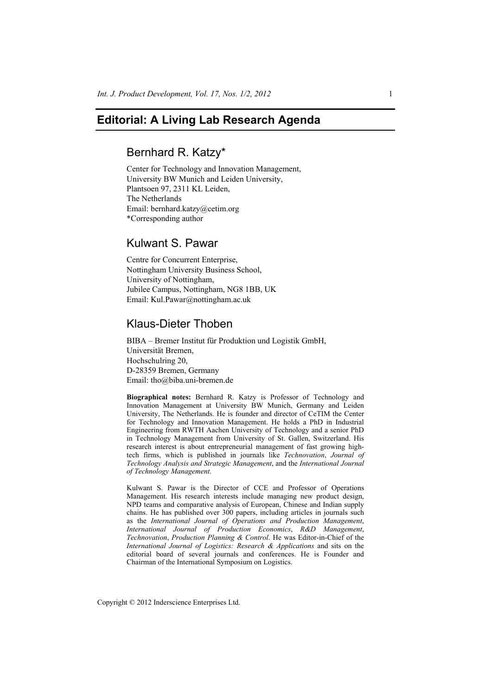# **Editorial: A Living Lab Research Agenda**

## Bernhard R. Katzy\*

Center for Technology and Innovation Management, University BW Munich and Leiden University, Plantsoen 97, 2311 KL Leiden, The Netherlands Email: bernhard.katzy@cetim.org \*Corresponding author

# Kulwant S. Pawar

Centre for Concurrent Enterprise, Nottingham University Business School, University of Nottingham, Jubilee Campus, Nottingham, NG8 1BB, UK Email: Kul.Pawar@nottingham.ac.uk

# Klaus-Dieter Thoben

BIBA – Bremer Institut für Produktion und Logistik GmbH, Universität Bremen, Hochschulring 20, D-28359 Bremen, Germany Email: tho@biba.uni-bremen.de

**Biographical notes:** Bernhard R. Katzy is Professor of Technology and Innovation Management at University BW Munich, Germany and Leiden University, The Netherlands. He is founder and director of CeTIM the Center for Technology and Innovation Management. He holds a PhD in Industrial Engineering from RWTH Aachen University of Technology and a senior PhD in Technology Management from University of St. Gallen, Switzerland. His research interest is about entrepreneurial management of fast growing hightech firms, which is published in journals like *Technovation*, *Journal of Technology Analysis and Strategic Management*, and the *International Journal of Technology Management*.

Kulwant S. Pawar is the Director of CCE and Professor of Operations Management. His research interests include managing new product design, NPD teams and comparative analysis of European, Chinese and Indian supply chains. He has published over 300 papers, including articles in journals such as the *International Journal of Operations and Production Management*, *International Journal of Production Economics*, *R&D Management*, *Technovation*, *Production Planning & Control*. He was Editor-in-Chief of the *International Journal of Logistics: Research & Applications* and sits on the editorial board of several journals and conferences. He is Founder and Chairman of the International Symposium on Logistics.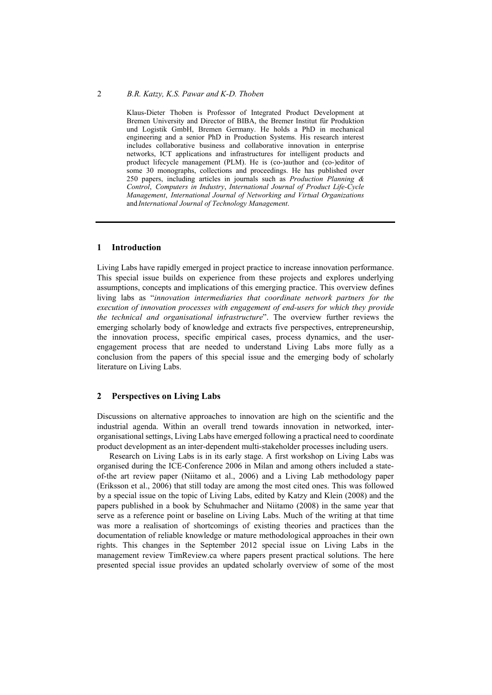## 2 *B.R. Katzy, K.S. Pawar and K-D. Thoben*

Klaus-Dieter Thoben is Professor of Integrated Product Development at Bremen University and Director of BIBA, the Bremer Institut für Produktion und Logistik GmbH, Bremen Germany. He holds a PhD in mechanical engineering and a senior PhD in Production Systems. His research interest includes collaborative business and collaborative innovation in enterprise networks, ICT applications and infrastructures for intelligent products and product lifecycle management (PLM). He is (co-)author and (co-)editor of some 30 monographs, collections and proceedings. He has published over 250 papers, including articles in journals such as *Production Planning & Control*, *Computers in Industry*, *International Journal of Product Life-Cycle Management*, *International Journal of Networking and Virtual Organizations* and *International Journal of Technology Management*.

### **1 Introduction**

Living Labs have rapidly emerged in project practice to increase innovation performance. This special issue builds on experience from these projects and explores underlying assumptions, concepts and implications of this emerging practice. This overview defines living labs as "*innovation intermediaries that coordinate network partners for the execution of innovation processes with engagement of end-users for which they provide the technical and organisational infrastructure*". The overview further reviews the emerging scholarly body of knowledge and extracts five perspectives, entrepreneurship, the innovation process, specific empirical cases, process dynamics, and the userengagement process that are needed to understand Living Labs more fully as a conclusion from the papers of this special issue and the emerging body of scholarly literature on Living Labs.

#### **2 Perspectives on Living Labs**

Discussions on alternative approaches to innovation are high on the scientific and the industrial agenda. Within an overall trend towards innovation in networked, interorganisational settings, Living Labs have emerged following a practical need to coordinate product development as an inter-dependent multi-stakeholder processes including users.

Research on Living Labs is in its early stage. A first workshop on Living Labs was organised during the ICE-Conference 2006 in Milan and among others included a stateof-the art review paper (Niitamo et al., 2006) and a Living Lab methodology paper (Eriksson et al., 2006) that still today are among the most cited ones. This was followed by a special issue on the topic of Living Labs, edited by Katzy and Klein (2008) and the papers published in a book by Schuhmacher and Niitamo (2008) in the same year that serve as a reference point or baseline on Living Labs. Much of the writing at that time was more a realisation of shortcomings of existing theories and practices than the documentation of reliable knowledge or mature methodological approaches in their own rights. This changes in the September 2012 special issue on Living Labs in the management review TimReview.ca where papers present practical solutions. The here presented special issue provides an updated scholarly overview of some of the most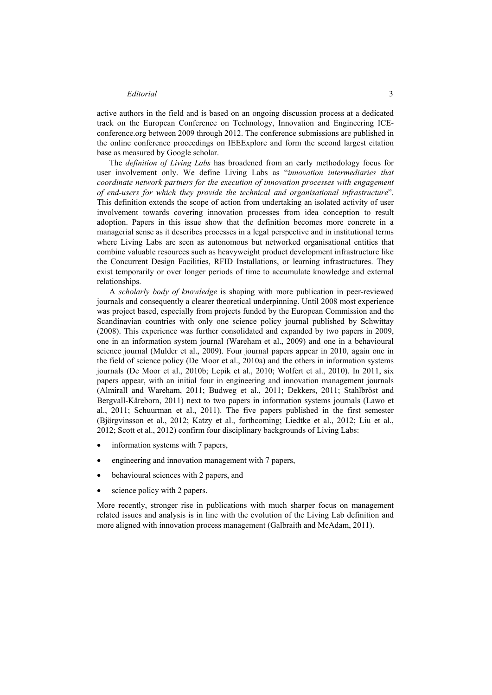#### *Editorial* 3

active authors in the field and is based on an ongoing discussion process at a dedicated track on the European Conference on Technology, Innovation and Engineering ICEconference.org between 2009 through 2012. The conference submissions are published in the online conference proceedings on IEEExplore and form the second largest citation base as measured by Google scholar.

The *definition of Living Labs* has broadened from an early methodology focus for user involvement only. We define Living Labs as "*innovation intermediaries that coordinate network partners for the execution of innovation processes with engagement of end-users for which they provide the technical and organisational infrastructure*". This definition extends the scope of action from undertaking an isolated activity of user involvement towards covering innovation processes from idea conception to result adoption. Papers in this issue show that the definition becomes more concrete in a managerial sense as it describes processes in a legal perspective and in institutional terms where Living Labs are seen as autonomous but networked organisational entities that combine valuable resources such as heavyweight product development infrastructure like the Concurrent Design Facilities, RFID Installations, or learning infrastructures. They exist temporarily or over longer periods of time to accumulate knowledge and external relationships.

A *scholarly body of knowledge* is shaping with more publication in peer-reviewed journals and consequently a clearer theoretical underpinning. Until 2008 most experience was project based, especially from projects funded by the European Commission and the Scandinavian countries with only one science policy journal published by Schwittay (2008). This experience was further consolidated and expanded by two papers in 2009, one in an information system journal (Wareham et al., 2009) and one in a behavioural science journal (Mulder et al., 2009). Four journal papers appear in 2010, again one in the field of science policy (De Moor et al., 2010a) and the others in information systems journals (De Moor et al., 2010b; Lepik et al., 2010; Wolfert et al., 2010). In 2011, six papers appear, with an initial four in engineering and innovation management journals (Almirall and Wareham, 2011; Budweg et al., 2011; Dekkers, 2011; Stahlbröst and Bergvall-Käreborn, 2011) next to two papers in information systems journals (Lawo et al., 2011; Schuurman et al., 2011). The five papers published in the first semester (Björgvinsson et al., 2012; Katzy et al., forthcoming; Liedtke et al., 2012; Liu et al., 2012; Scott et al., 2012) confirm four disciplinary backgrounds of Living Labs:

- information systems with 7 papers,
- engineering and innovation management with 7 papers,
- behavioural sciences with 2 papers, and
- science policy with 2 papers.

More recently, stronger rise in publications with much sharper focus on management related issues and analysis is in line with the evolution of the Living Lab definition and more aligned with innovation process management (Galbraith and McAdam, 2011).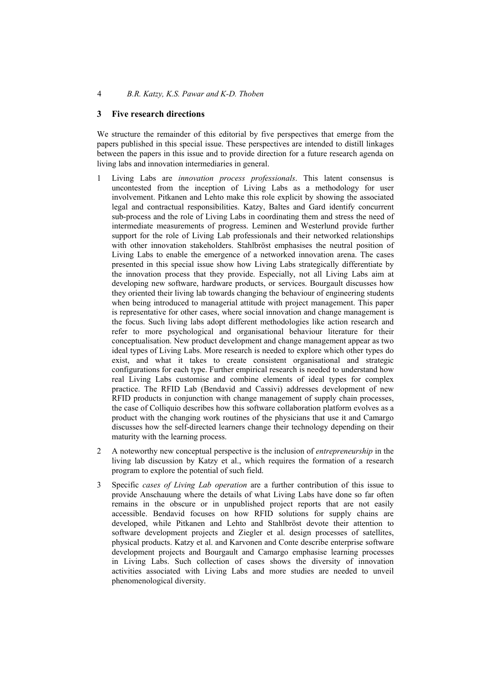#### **3 Five research directions**

We structure the remainder of this editorial by five perspectives that emerge from the papers published in this special issue. These perspectives are intended to distill linkages between the papers in this issue and to provide direction for a future research agenda on living labs and innovation intermediaries in general.

- 1 Living Labs are *innovation process professionals*. This latent consensus is uncontested from the inception of Living Labs as a methodology for user involvement. Pitkanen and Lehto make this role explicit by showing the associated legal and contractual responsibilities. Katzy, Baltes and Gard identify concurrent sub-process and the role of Living Labs in coordinating them and stress the need of intermediate measurements of progress. Leminen and Westerlund provide further support for the role of Living Lab professionals and their networked relationships with other innovation stakeholders. Stahlbröst emphasises the neutral position of Living Labs to enable the emergence of a networked innovation arena. The cases presented in this special issue show how Living Labs strategically differentiate by the innovation process that they provide. Especially, not all Living Labs aim at developing new software, hardware products, or services. Bourgault discusses how they oriented their living lab towards changing the behaviour of engineering students when being introduced to managerial attitude with project management. This paper is representative for other cases, where social innovation and change management is the focus. Such living labs adopt different methodologies like action research and refer to more psychological and organisational behaviour literature for their conceptualisation. New product development and change management appear as two ideal types of Living Labs. More research is needed to explore which other types do exist, and what it takes to create consistent organisational and strategic configurations for each type. Further empirical research is needed to understand how real Living Labs customise and combine elements of ideal types for complex practice. The RFID Lab (Bendavid and Cassivi) addresses development of new RFID products in conjunction with change management of supply chain processes, the case of Colliquio describes how this software collaboration platform evolves as a product with the changing work routines of the physicians that use it and Camargo discusses how the self-directed learners change their technology depending on their maturity with the learning process.
- 2 A noteworthy new conceptual perspective is the inclusion of *entrepreneurship* in the living lab discussion by Katzy et al., which requires the formation of a research program to explore the potential of such field.
- 3 Specific *cases of Living Lab operation* are a further contribution of this issue to provide Anschauung where the details of what Living Labs have done so far often remains in the obscure or in unpublished project reports that are not easily accessible. Bendavid focuses on how RFID solutions for supply chains are developed, while Pitkanen and Lehto and Stahlbröst devote their attention to software development projects and Ziegler et al. design processes of satellites, physical products. Katzy et al. and Karvonen and Conte describe enterprise software development projects and Bourgault and Camargo emphasise learning processes in Living Labs. Such collection of cases shows the diversity of innovation activities associated with Living Labs and more studies are needed to unveil phenomenological diversity.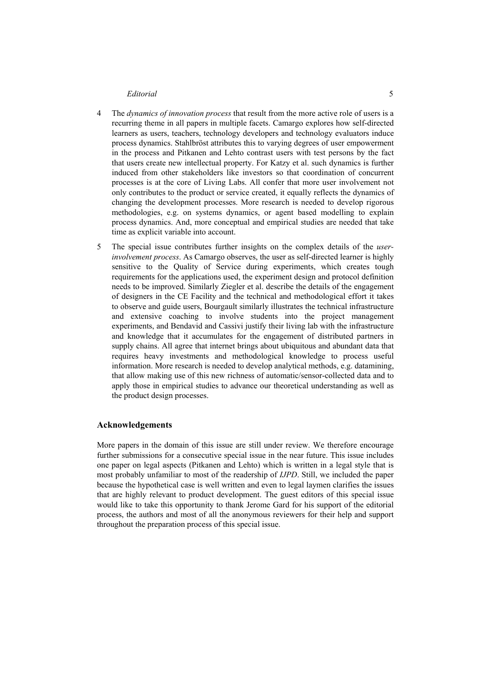#### *Editorial* 5

- 4 The *dynamics of innovation process* that result from the more active role of users is a recurring theme in all papers in multiple facets. Camargo explores how self-directed learners as users, teachers, technology developers and technology evaluators induce process dynamics. Stahlbröst attributes this to varying degrees of user empowerment in the process and Pitkanen and Lehto contrast users with test persons by the fact that users create new intellectual property. For Katzy et al. such dynamics is further induced from other stakeholders like investors so that coordination of concurrent processes is at the core of Living Labs. All confer that more user involvement not only contributes to the product or service created, it equally reflects the dynamics of changing the development processes. More research is needed to develop rigorous methodologies, e.g. on systems dynamics, or agent based modelling to explain process dynamics. And, more conceptual and empirical studies are needed that take time as explicit variable into account.
- 5 The special issue contributes further insights on the complex details of the *userinvolvement process*. As Camargo observes, the user as self-directed learner is highly sensitive to the Quality of Service during experiments, which creates tough requirements for the applications used, the experiment design and protocol definition needs to be improved. Similarly Ziegler et al. describe the details of the engagement of designers in the CE Facility and the technical and methodological effort it takes to observe and guide users, Bourgault similarly illustrates the technical infrastructure and extensive coaching to involve students into the project management experiments, and Bendavid and Cassivi justify their living lab with the infrastructure and knowledge that it accumulates for the engagement of distributed partners in supply chains. All agree that internet brings about ubiquitous and abundant data that requires heavy investments and methodological knowledge to process useful information. More research is needed to develop analytical methods, e.g. datamining, that allow making use of this new richness of automatic/sensor-collected data and to apply those in empirical studies to advance our theoretical understanding as well as the product design processes.

#### **Acknowledgements**

More papers in the domain of this issue are still under review. We therefore encourage further submissions for a consecutive special issue in the near future. This issue includes one paper on legal aspects (Pitkanen and Lehto) which is written in a legal style that is most probably unfamiliar to most of the readership of *IJPD*. Still, we included the paper because the hypothetical case is well written and even to legal laymen clarifies the issues that are highly relevant to product development. The guest editors of this special issue would like to take this opportunity to thank Jerome Gard for his support of the editorial process, the authors and most of all the anonymous reviewers for their help and support throughout the preparation process of this special issue.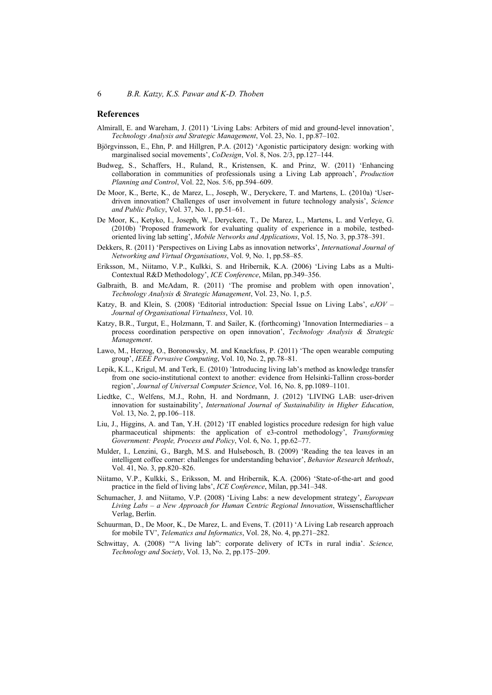#### **References**

- Almirall, E. and Wareham, J. (2011) 'Living Labs: Arbiters of mid and ground-level innovation', *Technology Analysis and Strategic Management*, Vol. 23, No. 1, pp.87–102.
- Björgvinsson, E., Ehn, P. and Hillgren, P.A. (2012) 'Agonistic participatory design: working with marginalised social movements', *CoDesign*, Vol. 8, Nos. 2/3, pp.127–144.
- Budweg, S., Schaffers, H., Ruland, R., Kristensen, K. and Prinz, W. (2011) 'Enhancing collaboration in communities of professionals using a Living Lab approach', *Production Planning and Control*, Vol. 22, Nos. 5/6, pp.594–609.
- De Moor, K., Berte, K., de Marez, L., Joseph, W., Deryckere, T. and Martens, L. (2010a) 'Userdriven innovation? Challenges of user involvement in future technology analysis', *Science and Public Policy*, Vol. 37, No. 1, pp.51–61.
- De Moor, K., Ketyko, I., Joseph, W., Deryckere, T., De Marez, L., Martens, L. and Verleye, G. (2010b) 'Proposed framework for evaluating quality of experience in a mobile, testbedoriented living lab setting', *Mobile Networks and Applications*, Vol. 15, No. 3, pp.378–391.
- Dekkers, R. (2011) 'Perspectives on Living Labs as innovation networks', *International Journal of Networking and Virtual Organisations*, Vol. 9, No. 1, pp.58–85.
- Eriksson, M., Niitamo, V.P., Kulkki, S. and Hribernik, K.A. (2006) 'Living Labs as a Multi-Contextual R&D Methodology', *ICE Conference*, Milan, pp.349–356.
- Galbraith, B. and McAdam, R. (2011) 'The promise and problem with open innovation', *Technology Analysis & Strategic Management*, Vol. 23, No. 1, p.5.
- Katzy, B. and Klein, S. (2008) 'Editorial introduction: Special Issue on Living Labs', *eJOV Journal of Organisational Virtualness*, Vol. 10.
- Katzy, B.R., Turgut, E., Holzmann, T. and Sailer, K. (forthcoming) 'Innovation Intermediaries a process coordination perspective on open innovation', *Technology Analysis & Strategic Management*.
- Lawo, M., Herzog, O., Boronowsky, M. and Knackfuss, P. (2011) 'The open wearable computing group', *IEEE Pervasive Computing*, Vol. 10, No. 2, pp.78–81.
- Lepik, K.L., Krigul, M. and Terk, E. (2010) 'Introducing living lab's method as knowledge transfer from one socio-institutional context to another: evidence from Helsinki-Tallinn cross-border region', *Journal of Universal Computer Science*, Vol. 16, No. 8, pp.1089–1101.
- Liedtke, C., Welfens, M.J., Rohn, H. and Nordmann, J. (2012) 'LIVING LAB: user-driven innovation for sustainability', *International Journal of Sustainability in Higher Education*, Vol. 13, No. 2, pp.106–118.
- Liu, J., Higgins, A. and Tan, Y.H. (2012) 'IT enabled logistics procedure redesign for high value pharmaceutical shipments: the application of e3-control methodology', *Transforming Government: People, Process and Policy*, Vol. 6, No. 1, pp.62–77.
- Mulder, I., Lenzini, G., Bargh, M.S. and Hulsebosch, B. (2009) 'Reading the tea leaves in an intelligent coffee corner: challenges for understanding behavior', *Behavior Research Methods*, Vol. 41, No. 3, pp.820–826.
- Niitamo, V.P., Kulkki, S., Eriksson, M. and Hribernik, K.A. (2006) 'State-of-the-art and good practice in the field of living labs', *ICE Conference*, Milan, pp.341–348.
- Schumacher, J. and Niitamo, V.P. (2008) 'Living Labs: a new development strategy', *European Living Labs – a New Approach for Human Centric Regional Innovation*, Wissenschaftlicher Verlag, Berlin.
- Schuurman, D., De Moor, K., De Marez, L. and Evens, T. (2011) 'A Living Lab research approach for mobile TV', *Telematics and Informatics*, Vol. 28, No. 4, pp.271–282.
- Schwittay, A. (2008) '"A living lab": corporate delivery of ICTs in rural india'. *Science, Technology and Society*, Vol. 13, No. 2, pp.175–209.